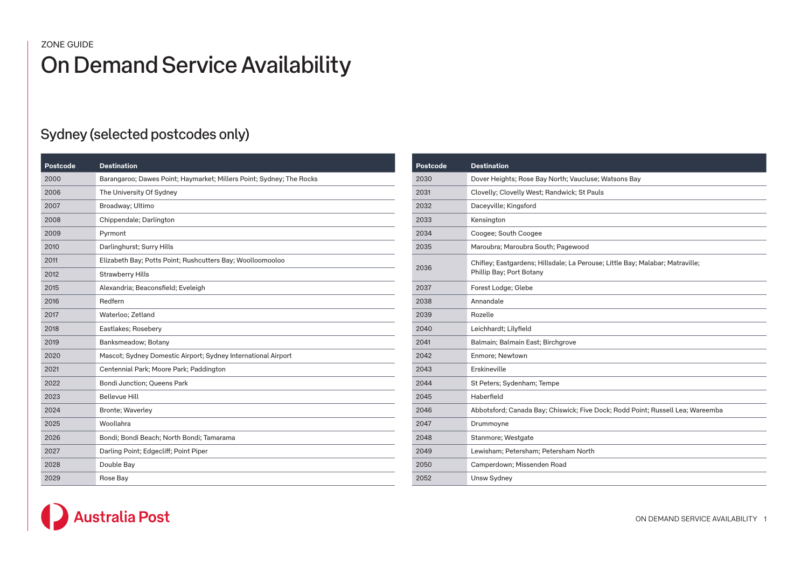| Postcode | <b>Destination</b>                                                   |
|----------|----------------------------------------------------------------------|
| 2000     | Barangaroo; Dawes Point; Haymarket; Millers Point; Sydney; The Rocks |
| 2006     | The University Of Sydney                                             |
| 2007     | Broadway; Ultimo                                                     |
| 2008     | Chippendale; Darlington                                              |
| 2009     | Pyrmont                                                              |
| 2010     | Darlinghurst; Surry Hills                                            |
| 2011     | Elizabeth Bay; Potts Point; Rushcutters Bay; Woolloomooloo           |
| 2012     | <b>Strawberry Hills</b>                                              |
| 2015     | Alexandria; Beaconsfield; Eveleigh                                   |
| 2016     | Redfern                                                              |
| 2017     | Waterloo; Zetland                                                    |
| 2018     | Eastlakes; Rosebery                                                  |
| 2019     | Banksmeadow; Botany                                                  |
| 2020     | Mascot; Sydney Domestic Airport; Sydney International Airport        |
| 2021     | Centennial Park; Moore Park; Paddington                              |
| 2022     | <b>Bondi Junction; Queens Park</b>                                   |
| 2023     | <b>Bellevue Hill</b>                                                 |
| 2024     | <b>Bronte</b> ; Waverley                                             |
| 2025     | Woollahra                                                            |
| 2026     | Bondi; Bondi Beach; North Bondi; Tamarama                            |
| 2027     | Darling Point; Edgecliff; Point Piper                                |
| 2028     | Double Bay                                                           |
| 2029     | Rose Bay                                                             |

| Postcode | <b>Destination</b>                                                                                        |
|----------|-----------------------------------------------------------------------------------------------------------|
| 2030     | Dover Heights; Rose Bay North; Vaucluse; Watsons Bay                                                      |
| 2031     | Clovelly; Clovelly West; Randwick; St Pauls                                                               |
| 2032     | Daceyville; Kingsford                                                                                     |
| 2033     | Kensington                                                                                                |
| 2034     | Coogee; South Coogee                                                                                      |
| 2035     | Maroubra; Maroubra South; Pagewood                                                                        |
| 2036     | Chifley; Eastgardens; Hillsdale; La Perouse; Little Bay; Malabar; Matraville;<br>Phillip Bay; Port Botany |
| 2037     | Forest Lodge; Glebe                                                                                       |
| 2038     | Annandale                                                                                                 |
| 2039     | Rozelle                                                                                                   |
| 2040     | Leichhardt; Lilyfield                                                                                     |
| 2041     | Balmain; Balmain East; Birchgrove                                                                         |
| 2042     | Enmore; Newtown                                                                                           |
| 2043     | Erskineville                                                                                              |
| 2044     | St Peters; Sydenham; Tempe                                                                                |
| 2045     | Haberfield                                                                                                |
| 2046     | Abbotsford; Canada Bay; Chiswick; Five Dock; Rodd Point; Russell Lea; Wareemba                            |
| 2047     | Drummoyne                                                                                                 |
| 2048     | Stanmore; Westgate                                                                                        |
| 2049     | Lewisham; Petersham; Petersham North                                                                      |
| 2050     | Camperdown; Missenden Road                                                                                |
| 2052     | Unsw Sydney                                                                                               |

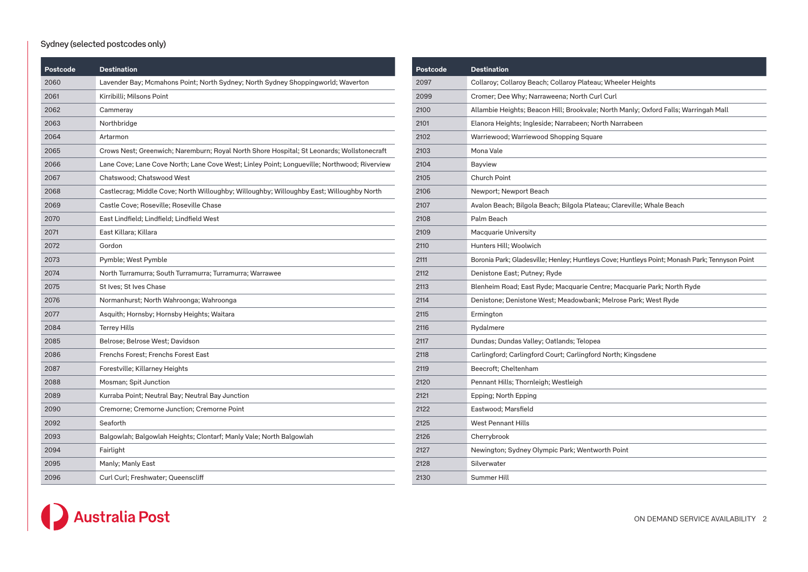| Postcode | <b>Destination</b>                                                                          |
|----------|---------------------------------------------------------------------------------------------|
| 2060     | Lavender Bay; Mcmahons Point; North Sydney; North Sydney Shoppingworld; Waverton            |
| 2061     | Kirribilli: Milsons Point                                                                   |
| 2062     | Cammeray                                                                                    |
| 2063     | Northbridge                                                                                 |
| 2064     | Artarmon                                                                                    |
| 2065     | Crows Nest; Greenwich; Naremburn; Royal North Shore Hospital; St Leonards; Wollstonecraft   |
| 2066     | Lane Cove; Lane Cove North; Lane Cove West; Linley Point; Longueville; Northwood; Riverview |
| 2067     | Chatswood; Chatswood West                                                                   |
| 2068     | Castlecrag; Middle Cove; North Willoughby; Willoughby; Willoughby East; Willoughby North    |
| 2069     | Castle Cove; Roseville; Roseville Chase                                                     |
| 2070     | East Lindfield; Lindfield; Lindfield West                                                   |
| 2071     | East Killara; Killara                                                                       |
| 2072     | Gordon                                                                                      |
| 2073     | Pymble; West Pymble                                                                         |
| 2074     | North Turramurra; South Turramurra; Turramurra; Warrawee                                    |
| 2075     | St Ives: St Ives Chase                                                                      |
| 2076     | Normanhurst; North Wahroonga; Wahroonga                                                     |
| 2077     | Asquith; Hornsby; Hornsby Heights; Waitara                                                  |
| 2084     | <b>Terrey Hills</b>                                                                         |
| 2085     | Belrose; Belrose West; Davidson                                                             |
| 2086     | Frenchs Forest; Frenchs Forest East                                                         |
| 2087     | Forestville; Killarney Heights                                                              |
| 2088     | Mosman; Spit Junction                                                                       |
| 2089     | Kurraba Point; Neutral Bay; Neutral Bay Junction                                            |
| 2090     | Cremorne; Cremorne Junction; Cremorne Point                                                 |
| 2092     | Seaforth                                                                                    |
| 2093     | Balgowlah; Balgowlah Heights; Clontarf; Manly Vale; North Balgowlah                         |
| 2094     | Fairlight                                                                                   |
| 2095     | Manly; Manly East                                                                           |
| 2096     | Curl Curl; Freshwater; Queenscliff                                                          |

| Postcode | <b>Destination</b>                                                                            |
|----------|-----------------------------------------------------------------------------------------------|
| 2097     | Collaroy; Collaroy Beach; Collaroy Plateau; Wheeler Heights                                   |
| 2099     | Cromer; Dee Why; Narraweena; North Curl Curl                                                  |
| 2100     | Allambie Heights; Beacon Hill; Brookvale; North Manly; Oxford Falls; Warringah Mall           |
| 2101     | Elanora Heights; Ingleside; Narrabeen; North Narrabeen                                        |
| 2102     | Warriewood; Warriewood Shopping Square                                                        |
| 2103     | Mona Vale                                                                                     |
| 2104     | Bayview                                                                                       |
| 2105     | Church Point                                                                                  |
| 2106     | Newport; Newport Beach                                                                        |
| 2107     | Avalon Beach; Bilgola Beach; Bilgola Plateau; Clareville; Whale Beach                         |
| 2108     | Palm Beach                                                                                    |
| 2109     | Macquarie University                                                                          |
| 2110     | Hunters Hill; Woolwich                                                                        |
| 2111     | Boronia Park; Gladesville; Henley; Huntleys Cove; Huntleys Point; Monash Park; Tennyson Point |
| 2112     | Denistone East; Putney; Ryde                                                                  |
| 2113     | Blenheim Road; East Ryde; Macquarie Centre; Macquarie Park; North Ryde                        |
| 2114     | Denistone; Denistone West; Meadowbank; Melrose Park; West Ryde                                |
| 2115     | Ermington                                                                                     |
| 2116     | Rydalmere                                                                                     |
| 2117     | Dundas; Dundas Valley; Oatlands; Telopea                                                      |
| 2118     | Carlingford; Carlingford Court; Carlingford North; Kingsdene                                  |
| 2119     | Beecroft; Cheltenham                                                                          |
| 2120     | Pennant Hills; Thornleigh; Westleigh                                                          |
| 2121     | Epping; North Epping                                                                          |
| 2122     | Eastwood; Marsfield                                                                           |
| 2125     | <b>West Pennant Hills</b>                                                                     |
| 2126     | Cherrybrook                                                                                   |
| 2127     | Newington; Sydney Olympic Park; Wentworth Point                                               |
| 2128     | Silverwater                                                                                   |
| 2130     | Summer Hill                                                                                   |

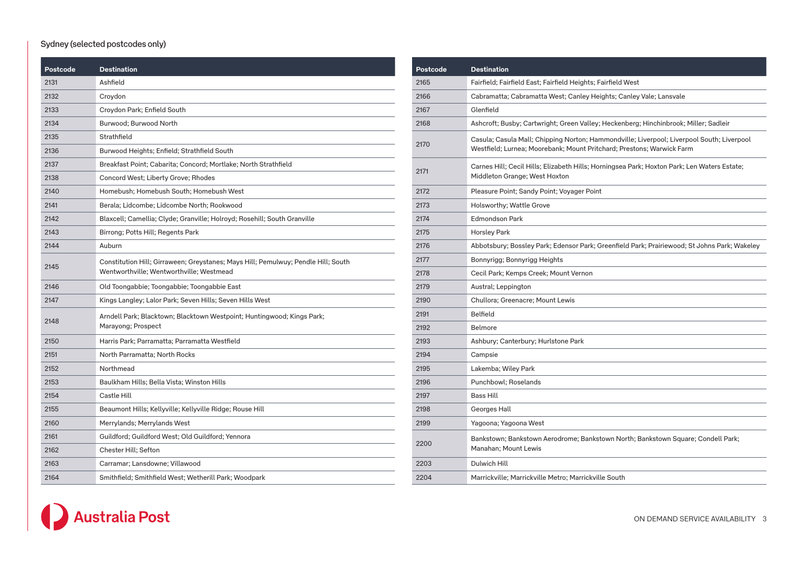| Postcode | <b>Destination</b>                                                                                                            |
|----------|-------------------------------------------------------------------------------------------------------------------------------|
| 2131     | Ashfield                                                                                                                      |
| 2132     | Croydon                                                                                                                       |
| 2133     | Croydon Park; Enfield South                                                                                                   |
| 2134     | Burwood; Burwood North                                                                                                        |
| 2135     | Strathfield                                                                                                                   |
| 2136     | Burwood Heights; Enfield; Strathfield South                                                                                   |
| 2137     | Breakfast Point; Cabarita; Concord; Mortlake; North Strathfield                                                               |
| 2138     | Concord West; Liberty Grove; Rhodes                                                                                           |
| 2140     | Homebush; Homebush South; Homebush West                                                                                       |
| 2141     | Berala; Lidcombe; Lidcombe North; Rookwood                                                                                    |
| 2142     | Blaxcell; Camellia; Clyde; Granville; Holroyd; Rosehill; South Granville                                                      |
| 2143     | Birrong; Potts Hill; Regents Park                                                                                             |
| 2144     | Auburn                                                                                                                        |
| 2145     | Constitution Hill; Girraween; Greystanes; Mays Hill; Pemulwuy; Pendle Hill; South<br>Wentworthville; Wentworthville; Westmead |
| 2146     | Old Toongabbie; Toongabbie; Toongabbie East                                                                                   |
| 2147     | Kings Langley; Lalor Park; Seven Hills; Seven Hills West                                                                      |
| 2148     | Arndell Park; Blacktown; Blacktown Westpoint; Huntingwood; Kings Park;<br>Marayong; Prospect                                  |
| 2150     | Harris Park; Parramatta; Parramatta Westfield                                                                                 |
| 2151     | North Parramatta; North Rocks                                                                                                 |
| 2152     | Northmead                                                                                                                     |
| 2153     | Baulkham Hills; Bella Vista; Winston Hills                                                                                    |
| 2154     | Castle Hill                                                                                                                   |
| 2155     | Beaumont Hills; Kellyville; Kellyville Ridge; Rouse Hill                                                                      |
| 2160     | Merrylands; Merrylands West                                                                                                   |
| 2161     | Guildford; Guildford West; Old Guildford; Yennora                                                                             |
| 2162     | Chester Hill; Sefton                                                                                                          |
| 2163     | Carramar; Lansdowne; Villawood                                                                                                |
| 2164     | Smithfield; Smithfield West; Wetherill Park; Woodpark                                                                         |

| Postcode | <b>Destination</b>                                                                                                                                                 |
|----------|--------------------------------------------------------------------------------------------------------------------------------------------------------------------|
| 2165     | Fairfield; Fairfield East; Fairfield Heights; Fairfield West                                                                                                       |
| 2166     | Cabramatta; Cabramatta West; Canley Heights; Canley Vale; Lansvale                                                                                                 |
| 2167     | Glenfield                                                                                                                                                          |
| 2168     | Ashcroft; Busby; Cartwright; Green Valley; Heckenberg; Hinchinbrook; Miller; Sadleir                                                                               |
| 2170     | Casula; Casula Mall; Chipping Norton; Hammondville; Liverpool; Liverpool South; Liverpool<br>Westfield; Lurnea; Moorebank; Mount Pritchard; Prestons; Warwick Farm |
| 2171     | Carnes Hill; Cecil Hills; Elizabeth Hills; Horningsea Park; Hoxton Park; Len Waters Estate;<br>Middleton Grange; West Hoxton                                       |
| 2172     | Pleasure Point; Sandy Point; Voyager Point                                                                                                                         |
| 2173     | Holsworthy; Wattle Grove                                                                                                                                           |
| 2174     | <b>Edmondson Park</b>                                                                                                                                              |
| 2175     | Horsley Park                                                                                                                                                       |
| 2176     | Abbotsbury; Bossley Park; Edensor Park; Greenfield Park; Prairiewood; St Johns Park; Wakeley                                                                       |
| 2177     | Bonnyrigg; Bonnyrigg Heights                                                                                                                                       |
| 2178     | Cecil Park; Kemps Creek; Mount Vernon                                                                                                                              |
| 2179     | Austral; Leppington                                                                                                                                                |
| 2190     | Chullora; Greenacre; Mount Lewis                                                                                                                                   |
| 2191     | Belfield                                                                                                                                                           |
| 2192     | Belmore                                                                                                                                                            |
| 2193     | Ashbury; Canterbury; Hurlstone Park                                                                                                                                |
| 2194     | Campsie                                                                                                                                                            |
| 2195     | Lakemba; Wiley Park                                                                                                                                                |
| 2196     | Punchbowl; Roselands                                                                                                                                               |
| 2197     | Bass Hill                                                                                                                                                          |
| 2198     | Georges Hall                                                                                                                                                       |
| 2199     | Yagoona; Yagoona West                                                                                                                                              |
| 2200     | Bankstown; Bankstown Aerodrome; Bankstown North; Bankstown Square; Condell Park;<br>Manahan; Mount Lewis                                                           |
| 2203     | Dulwich Hill                                                                                                                                                       |
| 2204     | Marrickville; Marrickville Metro; Marrickville South                                                                                                               |

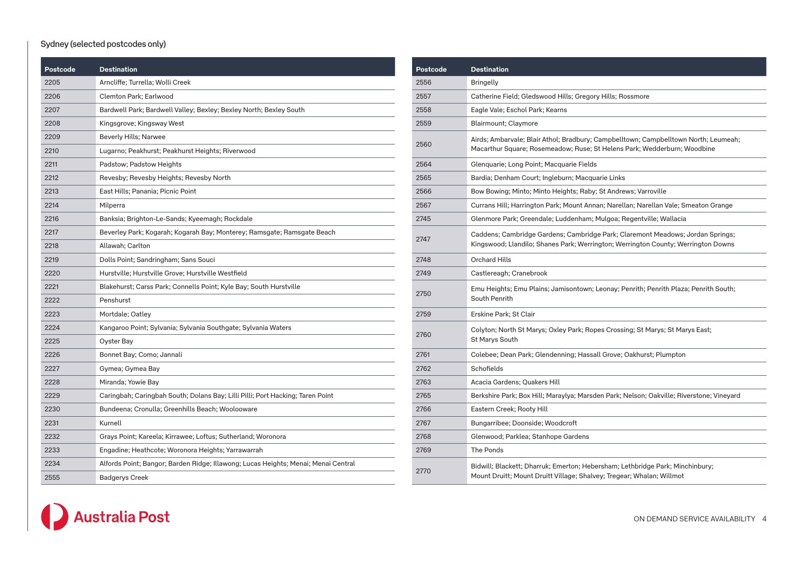| Postcode | <b>Destination</b>                                                                 |
|----------|------------------------------------------------------------------------------------|
| 2205     | Arncliffe; Turrella; Wolli Creek                                                   |
| 2206     | Clemton Park; Earlwood                                                             |
| 2207     | Bardwell Park; Bardwell Valley; Bexley; Bexley North; Bexley South                 |
| 2208     | Kingsgrove; Kingsway West                                                          |
| 2209     | Beverly Hills; Narwee                                                              |
| 2210     | Lugarno; Peakhurst; Peakhurst Heights; Riverwood                                   |
| 2211     | Padstow; Padstow Heights                                                           |
| 2212     | Revesby; Revesby Heights; Revesby North                                            |
| 2213     | East Hills; Panania; Picnic Point                                                  |
| 2214     | Milperra                                                                           |
| 2216     | Banksia; Brighton-Le-Sands; Kyeemagh; Rockdale                                     |
| 2217     | Beverley Park; Kogarah; Kogarah Bay; Monterey; Ramsgate; Ramsgate Beach            |
| 2218     | Allawah; Carlton                                                                   |
| 2219     | Dolls Point; Sandringham; Sans Souci                                               |
| 2220     | Hurstville; Hurstville Grove; Hurstville Westfield                                 |
| 2221     | Blakehurst; Carss Park; Connells Point; Kyle Bay; South Hurstville                 |
| 2222     | Penshurst                                                                          |
| 2223     | Mortdale; Oatley                                                                   |
| 2224     | Kangaroo Point; Sylvania; Sylvania Southgate; Sylvania Waters                      |
| 2225     | Oyster Bay                                                                         |
| 2226     | Bonnet Bay; Como; Jannali                                                          |
| 2227     | Gymea; Gymea Bay                                                                   |
| 2228     | Miranda; Yowie Bay                                                                 |
| 2229     | Caringbah; Caringbah South; Dolans Bay; Lilli Pilli; Port Hacking; Taren Point     |
| 2230     | Bundeena; Cronulla; Greenhills Beach; Woolooware                                   |
| 2231     | Kurnell                                                                            |
| 2232     | Grays Point; Kareela; Kirrawee; Loftus; Sutherland; Woronora                       |
| 2233     | Engadine; Heathcote; Woronora Heights; Yarrawarrah                                 |
| 2234     | Alfords Point; Bangor; Barden Ridge; Illawong; Lucas Heights; Menai; Menai Central |
| 2555     | <b>Badgerys Creek</b>                                                              |

| Postcode | <b>Destination</b>                                                                                                                                                  |
|----------|---------------------------------------------------------------------------------------------------------------------------------------------------------------------|
| 2556     | <b>Bringelly</b>                                                                                                                                                    |
| 2557     | Catherine Field; Gledswood Hills; Gregory Hills; Rossmore                                                                                                           |
| 2558     | Eagle Vale; Eschol Park; Kearns                                                                                                                                     |
| 2559     | Blairmount; Claymore                                                                                                                                                |
| 2560     | Airds; Ambarvale; Blair Athol; Bradbury; Campbelltown; Campbelltown North; Leumeah;<br>Macarthur Square; Rosemeadow; Ruse; St Helens Park; Wedderburn; Woodbine     |
| 2564     | Glenquarie; Long Point; Macquarie Fields                                                                                                                            |
| 2565     | Bardia; Denham Court; Ingleburn; Macquarie Links                                                                                                                    |
| 2566     | Bow Bowing; Minto; Minto Heights; Raby; St Andrews; Varroville                                                                                                      |
| 2567     | Currans Hill; Harrington Park; Mount Annan; Narellan; Narellan Vale; Smeaton Grange                                                                                 |
| 2745     | Glenmore Park; Greendale; Luddenham; Mulgoa; Regentville; Wallacia                                                                                                  |
| 2747     | Caddens; Cambridge Gardens; Cambridge Park; Claremont Meadows; Jordan Springs;<br>Kingswood; Llandilo; Shanes Park; Werrington; Werrington County; Werrington Downs |
| 2748     | <b>Orchard Hills</b>                                                                                                                                                |
| 2749     | Castlereagh; Cranebrook                                                                                                                                             |
| 2750     | Emu Heights; Emu Plains; Jamisontown; Leonay; Penrith; Penrith Plaza; Penrith South;<br>South Penrith                                                               |
| 2759     | Erskine Park; St Clair                                                                                                                                              |
| 2760     | Colyton; North St Marys; Oxley Park; Ropes Crossing; St Marys; St Marys East;<br>St Marys South                                                                     |
| 2761     | Colebee; Dean Park; Glendenning; Hassall Grove; Oakhurst; Plumpton                                                                                                  |
| 2762     | Schofields                                                                                                                                                          |
| 2763     | Acacia Gardens; Quakers Hill                                                                                                                                        |
| 2765     | Berkshire Park; Box Hill; Maraylya; Marsden Park; Nelson; Oakville; Riverstone; Vineyard                                                                            |
| 2766     | Eastern Creek; Rooty Hill                                                                                                                                           |
| 2767     | Bungarribee; Doonside; Woodcroft                                                                                                                                    |
| 2768     | Glenwood; Parklea; Stanhope Gardens                                                                                                                                 |
| 2769     | The Ponds                                                                                                                                                           |
| 2770     | Bidwill; Blackett; Dharruk; Emerton; Hebersham; Lethbridge Park; Minchinbury;<br>Mount Druitt; Mount Druitt Village; Shalvey; Tregear; Whalan; Willmot              |

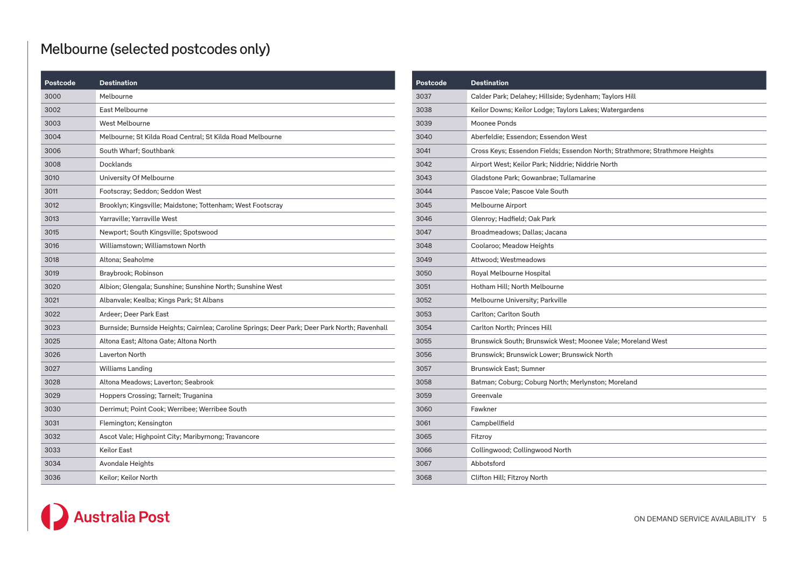# Melbourne (selected postcodes only)

| Postcode | <b>Destination</b>                                                                            |
|----------|-----------------------------------------------------------------------------------------------|
| 3000     | Melbourne                                                                                     |
| 3002     | East Melbourne                                                                                |
| 3003     | <b>West Melbourne</b>                                                                         |
| 3004     | Melbourne; St Kilda Road Central; St Kilda Road Melbourne                                     |
| 3006     | South Wharf; Southbank                                                                        |
| 3008     | Docklands                                                                                     |
| 3010     | University Of Melbourne                                                                       |
| 3011     | Footscray; Seddon; Seddon West                                                                |
| 3012     | Brooklyn; Kingsville; Maidstone; Tottenham; West Footscray                                    |
| 3013     | Yarraville; Yarraville West                                                                   |
| 3015     | Newport; South Kingsville; Spotswood                                                          |
| 3016     | Williamstown; Williamstown North                                                              |
| 3018     | Altona; Seaholme                                                                              |
| 3019     | Braybrook; Robinson                                                                           |
| 3020     | Albion; Glengala; Sunshine; Sunshine North; Sunshine West                                     |
| 3021     | Albanvale; Kealba; Kings Park; St Albans                                                      |
| 3022     | Ardeer; Deer Park East                                                                        |
| 3023     | Burnside; Burnside Heights; Cairnlea; Caroline Springs; Deer Park; Deer Park North; Ravenhall |
| 3025     | Altona East; Altona Gate; Altona North                                                        |
| 3026     | <b>Laverton North</b>                                                                         |
| 3027     | Williams Landing                                                                              |
| 3028     | Altona Meadows; Laverton; Seabrook                                                            |
| 3029     | Hoppers Crossing; Tarneit; Truganina                                                          |
| 3030     | Derrimut; Point Cook; Werribee; Werribee South                                                |
| 3031     | Flemington; Kensington                                                                        |
| 3032     | Ascot Vale; Highpoint City; Maribyrnong; Travancore                                           |
| 3033     | Keilor East                                                                                   |
| 3034     | Avondale Heights                                                                              |
| 3036     | Keilor; Keilor North                                                                          |

| Postcode | <b>Destination</b>                                                          |
|----------|-----------------------------------------------------------------------------|
| 3037     | Calder Park; Delahey; Hillside; Sydenham; Taylors Hill                      |
| 3038     | Keilor Downs; Keilor Lodge; Taylors Lakes; Watergardens                     |
| 3039     | Moonee Ponds                                                                |
| 3040     | Aberfeldie; Essendon; Essendon West                                         |
| 3041     | Cross Keys; Essendon Fields; Essendon North; Strathmore; Strathmore Heights |
| 3042     | Airport West; Keilor Park; Niddrie; Niddrie North                           |
| 3043     | Gladstone Park; Gowanbrae; Tullamarine                                      |
| 3044     | Pascoe Vale; Pascoe Vale South                                              |
| 3045     | Melbourne Airport                                                           |
| 3046     | Glenroy; Hadfield; Oak Park                                                 |
| 3047     | Broadmeadows; Dallas; Jacana                                                |
| 3048     | Coolaroo; Meadow Heights                                                    |
| 3049     | Attwood; Westmeadows                                                        |
| 3050     | Royal Melbourne Hospital                                                    |
| 3051     | Hotham Hill; North Melbourne                                                |
| 3052     | Melbourne University; Parkville                                             |
| 3053     | Carlton; Carlton South                                                      |
| 3054     | Carlton North; Princes Hill                                                 |
| 3055     | Brunswick South; Brunswick West; Moonee Vale; Moreland West                 |
| 3056     | Brunswick; Brunswick Lower; Brunswick North                                 |
| 3057     | <b>Brunswick East: Sumner</b>                                               |
| 3058     | Batman; Coburg; Coburg North; Merlynston; Moreland                          |
| 3059     | Greenvale                                                                   |
| 3060     | Fawkner                                                                     |
| 3061     | Campbellfield                                                               |
| 3065     | Fitzroy                                                                     |
| 3066     | Collingwood; Collingwood North                                              |
| 3067     | Abbotsford                                                                  |
| 3068     | Clifton Hill; Fitzroy North                                                 |

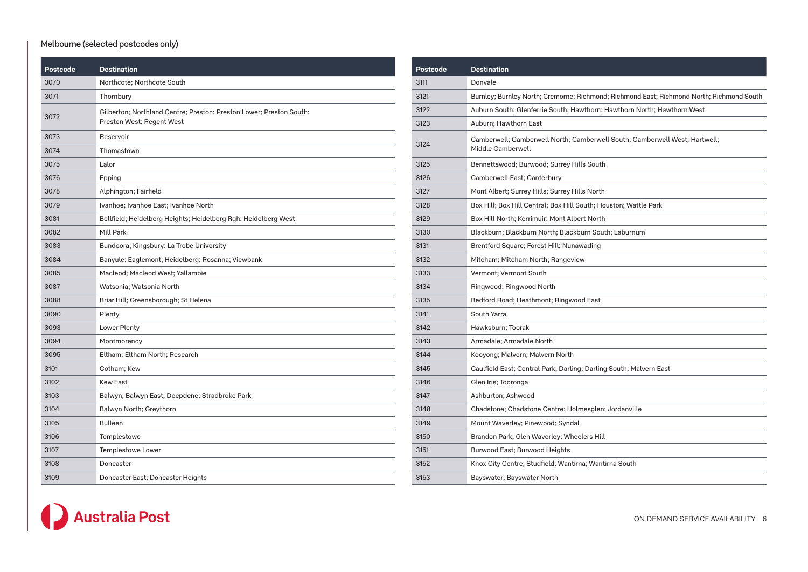### Melbourne (selected postcodes only)

| Postcode | <b>Destination</b>                                                                               |
|----------|--------------------------------------------------------------------------------------------------|
| 3070     | Northcote; Northcote South                                                                       |
| 3071     | Thornbury                                                                                        |
| 3072     | Gilberton; Northland Centre; Preston; Preston Lower; Preston South;<br>Preston West; Regent West |
| 3073     | Reservoir                                                                                        |
| 3074     | Thomastown                                                                                       |
| 3075     | Lalor                                                                                            |
| 3076     | Epping                                                                                           |
| 3078     | Alphington; Fairfield                                                                            |
| 3079     | Ivanhoe; Ivanhoe East; Ivanhoe North                                                             |
| 3081     | Bellfield; Heidelberg Heights; Heidelberg Rgh; Heidelberg West                                   |
| 3082     | Mill Park                                                                                        |
| 3083     | Bundoora; Kingsbury; La Trobe University                                                         |
| 3084     | Banyule; Eaglemont; Heidelberg; Rosanna; Viewbank                                                |
| 3085     | Macleod; Macleod West; Yallambie                                                                 |
| 3087     | Watsonia; Watsonia North                                                                         |
| 3088     | Briar Hill; Greensborough; St Helena                                                             |
| 3090     | Plenty                                                                                           |
| 3093     | Lower Plenty                                                                                     |
| 3094     | Montmorency                                                                                      |
| 3095     | Eltham; Eltham North; Research                                                                   |
| 3101     | Cotham; Kew                                                                                      |
| 3102     | Kew East                                                                                         |
| 3103     | Balwyn; Balwyn East; Deepdene; Stradbroke Park                                                   |
| 3104     | Balwyn North; Greythorn                                                                          |
| 3105     | <b>Bulleen</b>                                                                                   |
| 3106     | Templestowe                                                                                      |
| 3107     | <b>Templestowe Lower</b>                                                                         |
| 3108     | Doncaster                                                                                        |
| 3109     | Doncaster East; Doncaster Heights                                                                |

| Postcode | <b>Destination</b>                                                                              |
|----------|-------------------------------------------------------------------------------------------------|
| 3111     | Donvale                                                                                         |
| 3121     | Burnley; Burnley North; Cremorne; Richmond; Richmond East; Richmond North; Richmond South       |
| 3122     | Auburn South; Glenferrie South; Hawthorn; Hawthorn North; Hawthorn West                         |
| 3123     | Auburn; Hawthorn East                                                                           |
| 3124     | Camberwell; Camberwell North; Camberwell South; Camberwell West; Hartwell;<br>Middle Camberwell |
| 3125     | Bennettswood; Burwood; Surrey Hills South                                                       |
| 3126     | Camberwell East; Canterbury                                                                     |
| 3127     | Mont Albert; Surrey Hills; Surrey Hills North                                                   |
| 3128     | Box Hill; Box Hill Central; Box Hill South; Houston; Wattle Park                                |
| 3129     | Box Hill North; Kerrimuir; Mont Albert North                                                    |
| 3130     | Blackburn; Blackburn North; Blackburn South; Laburnum                                           |
| 3131     | Brentford Square; Forest Hill; Nunawading                                                       |
| 3132     | Mitcham; Mitcham North; Rangeview                                                               |
| 3133     | Vermont; Vermont South                                                                          |
| 3134     | Ringwood; Ringwood North                                                                        |
| 3135     | Bedford Road; Heathmont; Ringwood East                                                          |
| 3141     | South Yarra                                                                                     |
| 3142     | Hawksburn; Toorak                                                                               |
| 3143     | Armadale; Armadale North                                                                        |
| 3144     | Kooyong; Malvern; Malvern North                                                                 |
| 3145     | Caulfield East; Central Park; Darling; Darling South; Malvern East                              |
| 3146     | Glen Iris; Tooronga                                                                             |
| 3147     | Ashburton; Ashwood                                                                              |
| 3148     | Chadstone; Chadstone Centre; Holmesglen; Jordanville                                            |
| 3149     | Mount Waverley; Pinewood; Syndal                                                                |
| 3150     | Brandon Park; Glen Waverley; Wheelers Hill                                                      |
| 3151     | Burwood East; Burwood Heights                                                                   |
| 3152     | Knox City Centre; Studfield; Wantirna; Wantirna South                                           |
| 3153     | Bayswater; Bayswater North                                                                      |

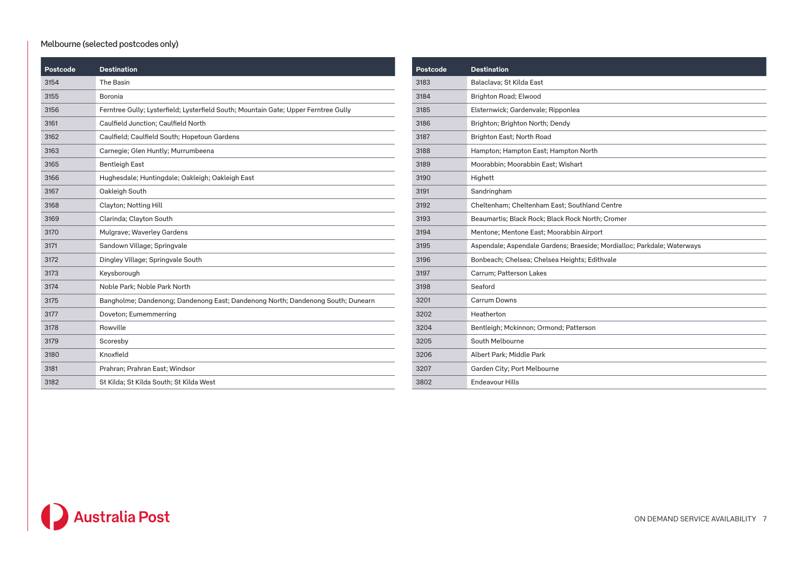### Melbourne (selected postcodes only)

| Postcode | <b>Destination</b>                                                                  |
|----------|-------------------------------------------------------------------------------------|
| 3154     | The Basin                                                                           |
| 3155     | Boronia                                                                             |
| 3156     | Ferntree Gully; Lysterfield; Lysterfield South; Mountain Gate; Upper Ferntree Gully |
| 3161     | Caulfield Junction; Caulfield North                                                 |
| 3162     | Caulfield; Caulfield South; Hopetoun Gardens                                        |
| 3163     | Carnegie; Glen Huntly; Murrumbeena                                                  |
| 3165     | <b>Bentleigh East</b>                                                               |
| 3166     | Hughesdale; Huntingdale; Oakleigh; Oakleigh East                                    |
| 3167     | Oakleigh South                                                                      |
| 3168     | Clayton; Notting Hill                                                               |
| 3169     | Clarinda; Clayton South                                                             |
| 3170     | Mulgrave; Waverley Gardens                                                          |
| 3171     | Sandown Village; Springvale                                                         |
| 3172     | Dingley Village; Springvale South                                                   |
| 3173     | Keysborough                                                                         |
| 3174     | Noble Park; Noble Park North                                                        |
| 3175     | Bangholme; Dandenong; Dandenong East; Dandenong North; Dandenong South; Dunearn     |
| 3177     | Doveton; Eumemmerring                                                               |
| 3178     | Rowville                                                                            |
| 3179     | Scoresby                                                                            |
| 3180     | Knoxfield                                                                           |
| 3181     | Prahran; Prahran East; Windsor                                                      |
| 3182     | St Kilda; St Kilda South; St Kilda West                                             |

| Postcode | <b>Destination</b>                                                      |
|----------|-------------------------------------------------------------------------|
| 3183     | Balaclava; St Kilda East                                                |
| 3184     | Brighton Road; Elwood                                                   |
| 3185     | Elsternwick; Gardenvale; Ripponlea                                      |
| 3186     | Brighton; Brighton North; Dendy                                         |
| 3187     | Brighton East; North Road                                               |
| 3188     | Hampton; Hampton East; Hampton North                                    |
| 3189     | Moorabbin; Moorabbin East; Wishart                                      |
| 3190     | Highett                                                                 |
| 3191     | Sandringham                                                             |
| 3192     | Cheltenham; Cheltenham East; Southland Centre                           |
| 3193     | Beaumartis; Black Rock; Black Rock North; Cromer                        |
| 3194     | Mentone; Mentone East; Moorabbin Airport                                |
| 3195     | Aspendale; Aspendale Gardens; Braeside; Mordialloc; Parkdale; Waterways |
| 3196     | Bonbeach; Chelsea; Chelsea Heights; Edithvale                           |
| 3197     | Carrum; Patterson Lakes                                                 |
| 3198     | Seaford                                                                 |
| 3201     | Carrum Downs                                                            |
| 3202     | Heatherton                                                              |
| 3204     | Bentleigh; Mckinnon; Ormond; Patterson                                  |
| 3205     | South Melbourne                                                         |
| 3206     | Albert Park; Middle Park                                                |
| 3207     | Garden City; Port Melbourne                                             |
| 3802     | Endeavour Hills                                                         |

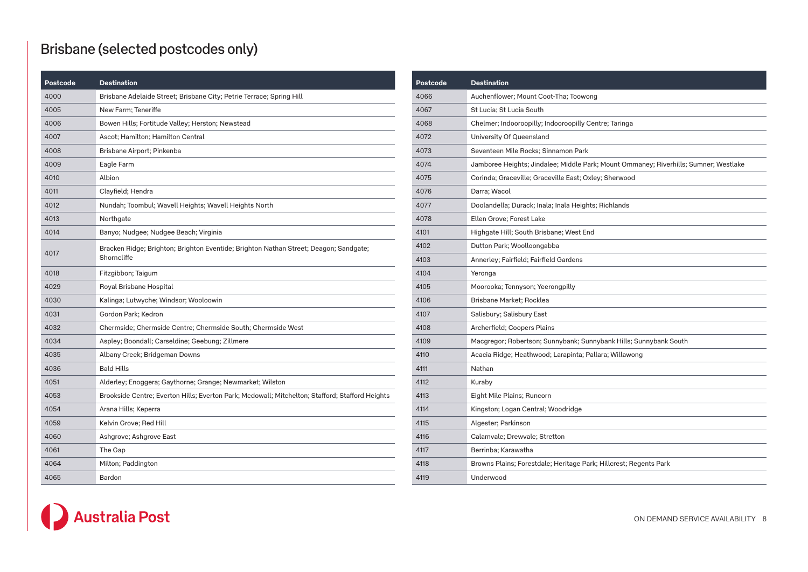# Brisbane (selected postcodes only)

| Postcode | <b>Destination</b>                                                                                   |
|----------|------------------------------------------------------------------------------------------------------|
| 4000     | Brisbane Adelaide Street; Brisbane City; Petrie Terrace; Spring Hill                                 |
| 4005     | New Farm; Teneriffe                                                                                  |
| 4006     | Bowen Hills; Fortitude Valley; Herston; Newstead                                                     |
| 4007     | Ascot; Hamilton; Hamilton Central                                                                    |
| 4008     | Brisbane Airport; Pinkenba                                                                           |
| 4009     | Eagle Farm                                                                                           |
| 4010     | Albion                                                                                               |
| 4011     | Clayfield; Hendra                                                                                    |
| 4012     | Nundah; Toombul; Wavell Heights; Wavell Heights North                                                |
| 4013     | Northgate                                                                                            |
| 4014     | Banyo; Nudgee; Nudgee Beach; Virginia                                                                |
| 4017     | Bracken Ridge; Brighton; Brighton Eventide; Brighton Nathan Street; Deagon; Sandgate;<br>Shorncliffe |
| 4018     | Fitzgibbon; Taigum                                                                                   |
| 4029     | Royal Brisbane Hospital                                                                              |
| 4030     | Kalinga; Lutwyche; Windsor; Wooloowin                                                                |
| 4031     | Gordon Park; Kedron                                                                                  |
| 4032     | Chermside; Chermside Centre; Chermside South; Chermside West                                         |
| 4034     | Aspley; Boondall; Carseldine; Geebung; Zillmere                                                      |
| 4035     | Albany Creek; Bridgeman Downs                                                                        |
| 4036     | <b>Bald Hills</b>                                                                                    |
| 4051     | Alderley; Enoggera; Gaythorne; Grange; Newmarket; Wilston                                            |
| 4053     | Brookside Centre; Everton Hills; Everton Park; Mcdowall; Mitchelton; Stafford; Stafford Heights      |
| 4054     | Arana Hills; Keperra                                                                                 |
| 4059     | Kelvin Grove; Red Hill                                                                               |
| 4060     | Ashgrove; Ashgrove East                                                                              |
| 4061     | The Gap                                                                                              |
| 4064     | Milton; Paddington                                                                                   |
| 4065     | Bardon                                                                                               |

| Postcode | <b>Destination</b>                                                                   |
|----------|--------------------------------------------------------------------------------------|
| 4066     | Auchenflower; Mount Coot-Tha; Toowong                                                |
| 4067     | St Lucia; St Lucia South                                                             |
| 4068     | Chelmer; Indooroopilly; Indooroopilly Centre; Taringa                                |
| 4072     | University Of Queensland                                                             |
| 4073     | Seventeen Mile Rocks; Sinnamon Park                                                  |
| 4074     | Jamboree Heights; Jindalee; Middle Park; Mount Ommaney; Riverhills; Sumner; Westlake |
| 4075     | Corinda; Graceville; Graceville East; Oxley; Sherwood                                |
| 4076     | Darra; Wacol                                                                         |
| 4077     | Doolandella; Durack; Inala; Inala Heights; Richlands                                 |
| 4078     | Ellen Grove; Forest Lake                                                             |
| 4101     | Highgate Hill; South Brisbane; West End                                              |
| 4102     | Dutton Park; Woolloongabba                                                           |
| 4103     | Annerley; Fairfield; Fairfield Gardens                                               |
| 4104     | Yeronga                                                                              |
| 4105     | Moorooka; Tennyson; Yeerongpilly                                                     |
| 4106     | Brisbane Market; Rocklea                                                             |
| 4107     | Salisbury; Salisbury East                                                            |
| 4108     | Archerfield; Coopers Plains                                                          |
| 4109     | Macgregor; Robertson; Sunnybank; Sunnybank Hills; Sunnybank South                    |
| 4110     | Acacia Ridge; Heathwood; Larapinta; Pallara; Willawong                               |
| 4111     | Nathan                                                                               |
| 4112     | Kuraby                                                                               |
| 4113     | Eight Mile Plains; Runcorn                                                           |
| 4114     | Kingston; Logan Central; Woodridge                                                   |
| 4115     | Algester; Parkinson                                                                  |
| 4116     | Calamvale; Drewvale; Stretton                                                        |
| 4117     | Berrinba: Karawatha                                                                  |
| 4118     | Browns Plains; Forestdale; Heritage Park; Hillcrest; Regents Park                    |
| 4119     | Underwood                                                                            |

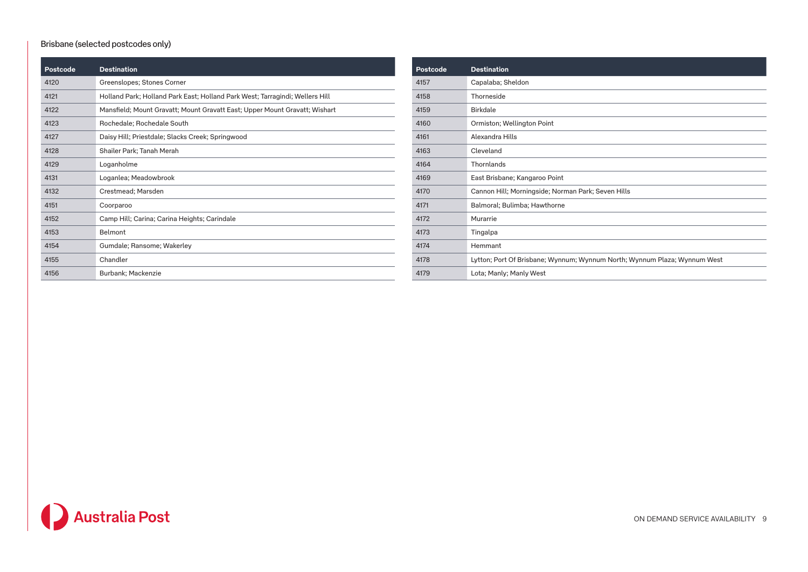#### Brisbane (selected postcodes only)

| Postcode | <b>Destination</b>                                                           | Postcode |  |
|----------|------------------------------------------------------------------------------|----------|--|
| 4120     | Greenslopes; Stones Corner                                                   | 4157     |  |
| 4121     | Holland Park; Holland Park East; Holland Park West; Tarragindi; Wellers Hill | 4158     |  |
| 4122     | Mansfield; Mount Gravatt; Mount Gravatt East; Upper Mount Gravatt; Wishart   | 4159     |  |
| 4123     | Rochedale; Rochedale South                                                   | 4160     |  |
| 4127     | Daisy Hill; Priestdale; Slacks Creek; Springwood                             | 4161     |  |
| 4128     | Shailer Park; Tanah Merah                                                    | 4163     |  |
| 4129     | Loganholme                                                                   | 4164     |  |
| 4131     | Loganlea; Meadowbrook                                                        | 4169     |  |
| 4132     | Crestmead; Marsden                                                           | 4170     |  |
| 4151     | Coorparoo                                                                    | 4171     |  |
| 4152     | Camp Hill; Carina; Carina Heights; Carindale                                 | 4172     |  |
| 4153     | Belmont                                                                      | 4173     |  |
| 4154     | Gumdale; Ransome; Wakerley                                                   | 4174     |  |
| 4155     | Chandler                                                                     | 4178     |  |
| 4156     | Burbank; Mackenzie                                                           | 4179     |  |

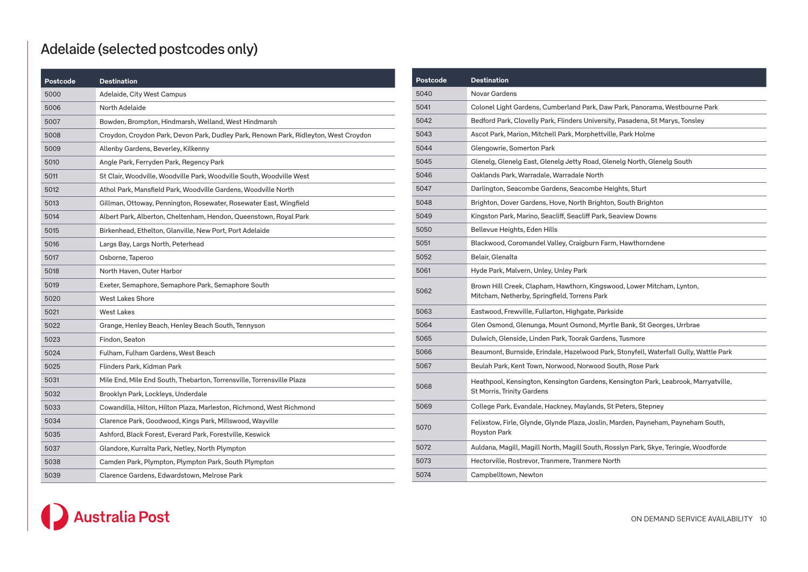# Adelaide (selected postcodes only)

| <b>Postcode</b> | <b>Destination</b>                                                                   |
|-----------------|--------------------------------------------------------------------------------------|
| 5000            | Adelaide, City West Campus                                                           |
| 5006            | North Adelaide                                                                       |
| 5007            | Bowden, Brompton, Hindmarsh, Welland, West Hindmarsh                                 |
| 5008            | Croydon, Croydon Park, Devon Park, Dudley Park, Renown Park, Ridleyton, West Croydon |
| 5009            | Allenby Gardens, Beverley, Kilkenny                                                  |
| 5010            | Angle Park, Ferryden Park, Regency Park                                              |
| 5011            | St Clair, Woodville, Woodville Park, Woodville South, Woodville West                 |
| 5012            | Athol Park, Mansfield Park, Woodville Gardens, Woodville North                       |
| 5013            | Gillman, Ottoway, Pennington, Rosewater, Rosewater East, Wingfield                   |
| 5014            | Albert Park, Alberton, Cheltenham, Hendon, Queenstown, Royal Park                    |
| 5015            | Birkenhead, Ethelton, Glanville, New Port, Port Adelaide                             |
| 5016            | Largs Bay, Largs North, Peterhead                                                    |
| 5017            | Osborne, Taperoo                                                                     |
| 5018            | North Haven, Outer Harbor                                                            |
| 5019            | Exeter, Semaphore, Semaphore Park, Semaphore South                                   |
| 5020            | <b>West Lakes Shore</b>                                                              |
| 5021            | <b>West Lakes</b>                                                                    |
| 5022            | Grange, Henley Beach, Henley Beach South, Tennyson                                   |
| 5023            | Findon, Seaton                                                                       |
| 5024            | Fulham, Fulham Gardens, West Beach                                                   |
| 5025            | Flinders Park, Kidman Park                                                           |
| 5031            | Mile End, Mile End South, Thebarton, Torrensville, Torrensville Plaza                |
| 5032            | Brooklyn Park, Lockleys, Underdale                                                   |
| 5033            | Cowandilla, Hilton, Hilton Plaza, Marleston, Richmond, West Richmond                 |
| 5034            | Clarence Park, Goodwood, Kings Park, Millswood, Wayville                             |
| 5035            | Ashford, Black Forest, Everard Park, Forestville, Keswick                            |
| 5037            | Glandore, Kurralta Park, Netley, North Plympton                                      |
| 5038            | Camden Park, Plympton, Plympton Park, South Plympton                                 |
| 5039            | Clarence Gardens, Edwardstown, Melrose Park                                          |

| Postcode | <b>Destination</b>                                                                                                     |
|----------|------------------------------------------------------------------------------------------------------------------------|
| 5040     | Novar Gardens                                                                                                          |
| 5041     | Colonel Light Gardens, Cumberland Park, Daw Park, Panorama, Westbourne Park                                            |
| 5042     | Bedford Park, Clovelly Park, Flinders University, Pasadena, St Marys, Tonsley                                          |
| 5043     | Ascot Park, Marion, Mitchell Park, Morphettville, Park Holme                                                           |
| 5044     | Glengowrie, Somerton Park                                                                                              |
| 5045     | Glenelg, Glenelg East, Glenelg Jetty Road, Glenelg North, Glenelg South                                                |
| 5046     | Oaklands Park, Warradale, Warradale North                                                                              |
| 5047     | Darlington, Seacombe Gardens, Seacombe Heights, Sturt                                                                  |
| 5048     | Brighton, Dover Gardens, Hove, North Brighton, South Brighton                                                          |
| 5049     | Kingston Park, Marino, Seacliff, Seacliff Park, Seaview Downs                                                          |
| 5050     | Bellevue Heights, Eden Hills                                                                                           |
| 5051     | Blackwood, Coromandel Valley, Craigburn Farm, Hawthorndene                                                             |
| 5052     | Belair, Glenalta                                                                                                       |
| 5061     | Hyde Park, Malvern, Unley, Unley Park                                                                                  |
| 5062     | Brown Hill Creek, Clapham, Hawthorn, Kingswood, Lower Mitcham, Lynton,<br>Mitcham, Netherby, Springfield, Torrens Park |
| 5063     | Eastwood, Frewville, Fullarton, Highgate, Parkside                                                                     |
| 5064     | Glen Osmond, Glenunga, Mount Osmond, Myrtle Bank, St Georges, Urrbrae                                                  |
| 5065     | Dulwich, Glenside, Linden Park, Toorak Gardens, Tusmore                                                                |
| 5066     | Beaumont, Burnside, Erindale, Hazelwood Park, Stonyfell, Waterfall Gully, Wattle Park                                  |
| 5067     | Beulah Park, Kent Town, Norwood, Norwood South, Rose Park                                                              |
| 5068     | Heathpool, Kensington, Kensington Gardens, Kensington Park, Leabrook, Marryatville,<br>St Morris, Trinity Gardens      |
| 5069     | College Park, Evandale, Hackney, Maylands, St Peters, Stepney                                                          |
| 5070     | Felixstow, Firle, Glynde, Glynde Plaza, Joslin, Marden, Payneham, Payneham South,<br>Royston Park                      |
| 5072     | Auldana, Magill, Magill North, Magill South, Rosslyn Park, Skye, Teringie, Woodforde                                   |
| 5073     | Hectorville, Rostrevor, Tranmere, Tranmere North                                                                       |
| 5074     | Campbelltown, Newton                                                                                                   |

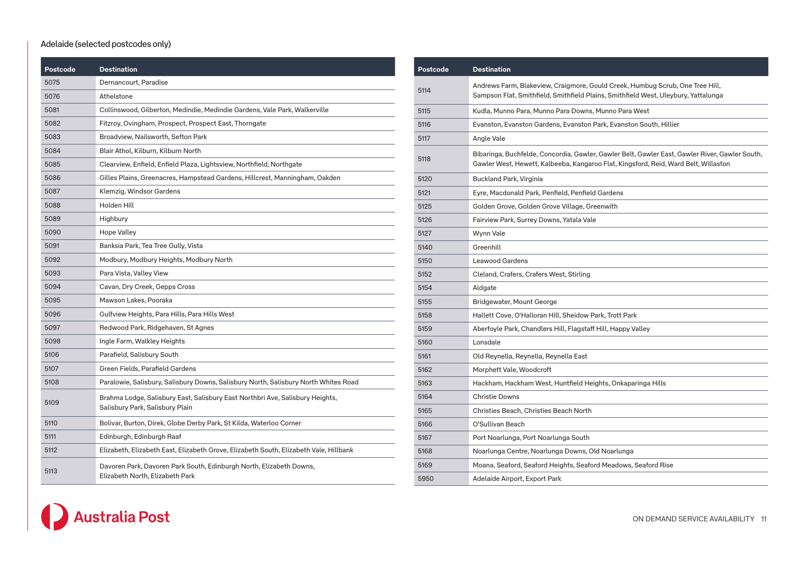#### Adelaide (selected postcodes only)

| Postcode | <b>Destination</b>                                                                                               |
|----------|------------------------------------------------------------------------------------------------------------------|
| 5075     | Dernancourt, Paradise                                                                                            |
| 5076     | Athelstone                                                                                                       |
| 5081     | Collinswood, Gilberton, Medindie, Medindie Gardens, Vale Park, Walkerville                                       |
| 5082     | Fitzroy, Ovingham, Prospect, Prospect East, Thorngate                                                            |
| 5083     | Broadview, Nailsworth, Sefton Park                                                                               |
| 5084     | Blair Athol, Kilburn, Kilburn North                                                                              |
| 5085     | Clearview, Enfield, Enfield Plaza, Lightsview, Northfield, Northgate                                             |
| 5086     | Gilles Plains, Greenacres, Hampstead Gardens, Hillcrest, Manningham, Oakden                                      |
| 5087     | Klemzig, Windsor Gardens                                                                                         |
| 5088     | Holden Hill                                                                                                      |
| 5089     | Highbury                                                                                                         |
| 5090     | Hope Valley                                                                                                      |
| 5091     | Banksia Park, Tea Tree Gully, Vista                                                                              |
| 5092     | Modbury, Modbury Heights, Modbury North                                                                          |
| 5093     | Para Vista, Valley View                                                                                          |
| 5094     | Cavan, Dry Creek, Gepps Cross                                                                                    |
| 5095     | Mawson Lakes, Pooraka                                                                                            |
| 5096     | Gulfview Heights, Para Hills, Para Hills West                                                                    |
| 5097     | Redwood Park, Ridgehaven, St Agnes                                                                               |
| 5098     | Ingle Farm, Walkley Heights                                                                                      |
| 5106     | Parafield, Salisbury South                                                                                       |
| 5107     | Green Fields, Parafield Gardens                                                                                  |
| 5108     | Paralowie, Salisbury, Salisbury Downs, Salisbury North, Salisbury North Whites Road                              |
| 5109     | Brahma Lodge, Salisbury East, Salisbury East Northbri Ave, Salisbury Heights,<br>Salisbury Park, Salisbury Plain |
| 5110     | Bolivar, Burton, Direk, Globe Derby Park, St Kilda, Waterloo Corner                                              |
| 5111     | Edinburgh, Edinburgh Raaf                                                                                        |
| 5112     | Elizabeth, Elizabeth East, Elizabeth Grove, Elizabeth South, Elizabeth Vale, Hillbank                            |
| 5113     | Davoren Park, Davoren Park South, Edinburgh North, Elizabeth Downs,<br>Elizabeth North, Elizabeth Park           |

| Postcode | <b>Destination</b>                                                                                                                                                                    |
|----------|---------------------------------------------------------------------------------------------------------------------------------------------------------------------------------------|
| 5114     | Andrews Farm, Blakeview, Craigmore, Gould Creek, Humbug Scrub, One Tree Hill,<br>Sampson Flat, Smithfield, Smithfield Plains, Smithfield West, Uleybury, Yattalunga                   |
| 5115     | Kudla, Munno Para, Munno Para Downs, Munno Para West                                                                                                                                  |
| 5116     | Evanston, Evanston Gardens, Evanston Park, Evanston South, Hillier                                                                                                                    |
| 5117     | Angle Vale                                                                                                                                                                            |
| 5118     | Bibaringa, Buchfelde, Concordia, Gawler, Gawler Belt, Gawler East, Gawler River, Gawler South,<br>Gawler West, Hewett, Kalbeeba, Kangaroo Flat, Kingsford, Reid, Ward Belt, Willaston |
| 5120     | Buckland Park, Virginia                                                                                                                                                               |
| 5121     | Eyre, Macdonald Park, Penfield, Penfield Gardens                                                                                                                                      |
| 5125     | Golden Grove, Golden Grove Village, Greenwith                                                                                                                                         |
| 5126     | Fairview Park, Surrey Downs, Yatala Vale                                                                                                                                              |
| 5127     | Wynn Vale                                                                                                                                                                             |
| 5140     | Greenhill                                                                                                                                                                             |
| 5150     | <b>Leawood Gardens</b>                                                                                                                                                                |
| 5152     | Cleland, Crafers, Crafers West, Stirling                                                                                                                                              |
| 5154     | Aldgate                                                                                                                                                                               |
| 5155     | Bridgewater, Mount George                                                                                                                                                             |
| 5158     | Hallett Cove, O'Halloran Hill, Sheidow Park, Trott Park                                                                                                                               |
| 5159     | Aberfoyle Park, Chandlers Hill, Flagstaff Hill, Happy Valley                                                                                                                          |
| 5160     | Lonsdale                                                                                                                                                                              |
| 5161     | Old Reynella, Reynella, Reynella East                                                                                                                                                 |
| 5162     | Morphett Vale, Woodcroft                                                                                                                                                              |
| 5163     | Hackham, Hackham West, Huntfield Heights, Onkaparinga Hills                                                                                                                           |
| 5164     | <b>Christie Downs</b>                                                                                                                                                                 |
| 5165     | Christies Beach, Christies Beach North                                                                                                                                                |
| 5166     | O'Sullivan Beach                                                                                                                                                                      |
| 5167     | Port Noarlunga, Port Noarlunga South                                                                                                                                                  |
| 5168     | Noarlunga Centre, Noarlunga Downs, Old Noarlunga                                                                                                                                      |
| 5169     | Moana, Seaford, Seaford Heights, Seaford Meadows, Seaford Rise                                                                                                                        |
| 5950     | Adelaide Airport, Export Park                                                                                                                                                         |

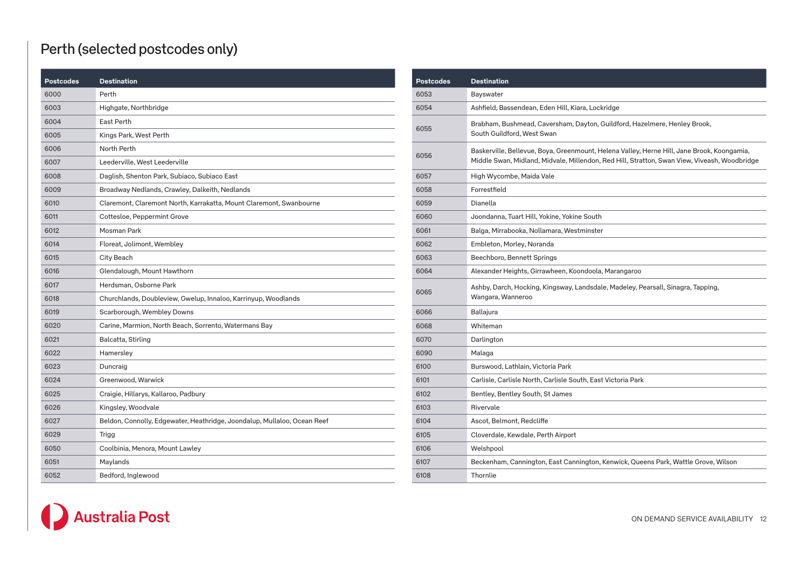# Perth (selected postcodes only)

| <b>Postcodes</b> | <b>Destination</b>                                                       |
|------------------|--------------------------------------------------------------------------|
| 6000             | Perth                                                                    |
| 6003             | Highgate, Northbridge                                                    |
| 6004             | East Perth                                                               |
| 6005             | Kings Park, West Perth                                                   |
| 6006             | North Perth                                                              |
| 6007             | Leederville, West Leederville                                            |
| 6008             | Daglish, Shenton Park, Subiaco, Subiaco East                             |
| 6009             | Broadway Nedlands, Crawley, Dalkeith, Nedlands                           |
| 6010             | Claremont, Claremont North, Karrakatta, Mount Claremont, Swanbourne      |
| 6011             | Cottesloe, Peppermint Grove                                              |
| 6012             | Mosman Park                                                              |
| 6014             | Floreat, Jolimont, Wembley                                               |
| 6015             | City Beach                                                               |
| 6016             | Glendalough, Mount Hawthorn                                              |
| 6017             | Herdsman, Osborne Park                                                   |
| 6018             | Churchlands, Doubleview, Gwelup, Innaloo, Karrinyup, Woodlands           |
| 6019             | Scarborough, Wembley Downs                                               |
| 6020             | Carine, Marmion, North Beach, Sorrento, Watermans Bay                    |
| 6021             | Balcatta, Stirling                                                       |
| 6022             | Hamersley                                                                |
| 6023             | Duncraig                                                                 |
| 6024             | Greenwood, Warwick                                                       |
| 6025             | Craigie, Hillarys, Kallaroo, Padbury                                     |
| 6026             | Kingsley, Woodvale                                                       |
| 6027             | Beldon, Connolly, Edgewater, Heathridge, Joondalup, Mullaloo, Ocean Reef |
| 6029             | Trigg                                                                    |
| 6050             | Coolbinia, Menora, Mount Lawley                                          |
| 6051             | Maylands                                                                 |
| 6052             | Bedford, Inglewood                                                       |

| <b>Postcodes</b> | <b>Destination</b>                                                                                                                                                                         |
|------------------|--------------------------------------------------------------------------------------------------------------------------------------------------------------------------------------------|
| 6053             | Bayswater                                                                                                                                                                                  |
| 6054             | Ashfield, Bassendean, Eden Hill, Kiara, Lockridge                                                                                                                                          |
| 6055             | Brabham, Bushmead, Caversham, Dayton, Guildford, Hazelmere, Henley Brook,<br>South Guildford, West Swan                                                                                    |
| 6056             | Baskerville, Bellevue, Boya, Greenmount, Helena Valley, Herne Hill, Jane Brook, Koongamia,<br>Middle Swan, Midland, Midvale, Millendon, Red Hill, Stratton, Swan View, Viveash, Woodbridge |
| 6057             | High Wycombe, Maida Vale                                                                                                                                                                   |
| 6058             | Forrestfield                                                                                                                                                                               |
| 6059             | Dianella                                                                                                                                                                                   |
| 6060             | Joondanna, Tuart Hill, Yokine, Yokine South                                                                                                                                                |
| 6061             | Balga, Mirrabooka, Nollamara, Westminster                                                                                                                                                  |
| 6062             | Embleton, Morley, Noranda                                                                                                                                                                  |
| 6063             | Beechboro, Bennett Springs                                                                                                                                                                 |
| 6064             | Alexander Heights, Girrawheen, Koondoola, Marangaroo                                                                                                                                       |
| 6065             | Ashby, Darch, Hocking, Kingsway, Landsdale, Madeley, Pearsall, Sinagra, Tapping,<br>Wangara, Wanneroo                                                                                      |
| 6066             | Ballajura                                                                                                                                                                                  |
| 6068             | Whiteman                                                                                                                                                                                   |
| 6070             | Darlington                                                                                                                                                                                 |
| 6090             | Malaga                                                                                                                                                                                     |
| 6100             | Burswood, Lathlain, Victoria Park                                                                                                                                                          |
| 6101             | Carlisle, Carlisle North, Carlisle South, East Victoria Park                                                                                                                               |
| 6102             | Bentley, Bentley South, St James                                                                                                                                                           |
| 6103             | Rivervale                                                                                                                                                                                  |
| 6104             | Ascot, Belmont, Redcliffe                                                                                                                                                                  |
| 6105             | Cloverdale, Kewdale, Perth Airport                                                                                                                                                         |
| 6106             | Welshpool                                                                                                                                                                                  |
| 6107             | Beckenham, Cannington, East Cannington, Kenwick, Queens Park, Wattle Grove, Wilson                                                                                                         |
| 6108             | Thornlie                                                                                                                                                                                   |